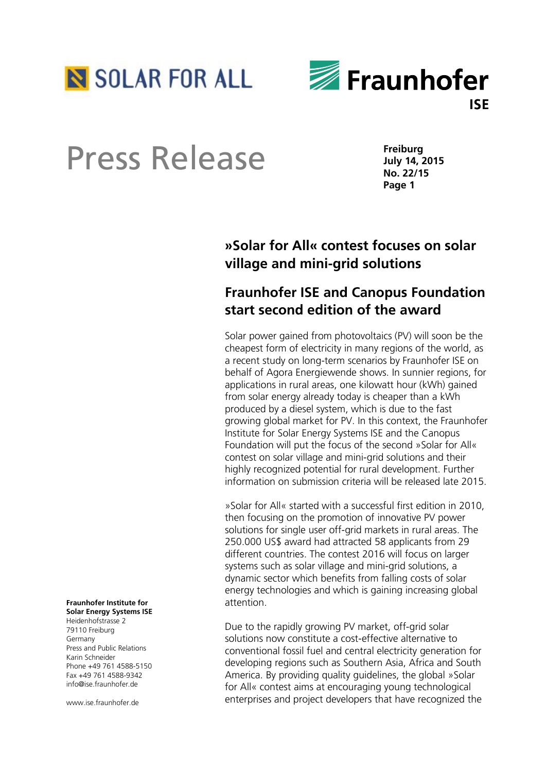



# Press Release

**Freiburg July 14, 2015 No. 22/15 Page 1**

## **»Solar for All« contest focuses on solar village and mini-grid solutions**

### **Fraunhofer ISE and Canopus Foundation start second edition of the award**

Solar power gained from photovoltaics (PV) will soon be the cheapest form of electricity in many regions of the world, as a recent study on long-term scenarios by Fraunhofer ISE on behalf of Agora Energiewende shows. In sunnier regions, for applications in rural areas, one kilowatt hour (kWh) gained from solar energy already today is cheaper than a kWh produced by a diesel system, which is due to the fast growing global market for PV. In this context, the Fraunhofer Institute for Solar Energy Systems ISE and the Canopus Foundation will put the focus of the second »Solar for All« contest on solar village and mini-grid solutions and their highly recognized potential for rural development. Further information on submission criteria will be released late 2015.

»Solar for All« started with a successful first edition in 2010, then focusing on the promotion of innovative PV power solutions for single user off-grid markets in rural areas. The 250.000 US\$ award had attracted 58 applicants from 29 different countries. The contest 2016 will focus on larger systems such as solar village and mini-grid solutions, a dynamic sector which benefits from falling costs of solar energy technologies and which is gaining increasing global attention.

Due to the rapidly growing PV market, off-grid solar solutions now constitute a cost-effective alternative to conventional fossil fuel and central electricity generation for developing regions such as Southern Asia, Africa and South America. By providing quality guidelines, the global »Solar for All« contest aims at encouraging young technological enterprises and project developers that have recognized the

#### **Fraunhofer Institute for Solar Energy Systems ISE**

Heidenhofstrasse 2 79110 Freiburg Germany Press and Public Relations Karin Schneider Phone +49 761 4588-5150 Fax +49 761 4588-9342 info@ise.fraunhofer.de

www.ise.fraunhofer.de